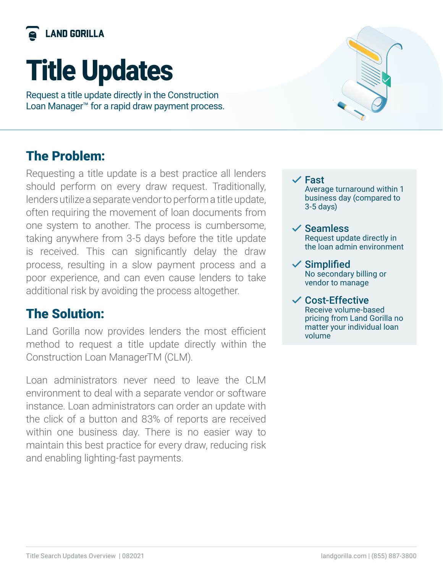

# Title Updates

Request a title update directly in the Construction Loan Manager™ for a rapid draw payment process.

### The Problem:

Requesting a title update is a best practice all lenders should perform on every draw request. Traditionally, lenders utilize a separate vendor to perform a title update, often requiring the movement of loan documents from one system to another. The process is cumbersome, taking anywhere from 3-5 days before the title update is received. This can significantly delay the draw process, resulting in a slow payment process and a poor experience, and can even cause lenders to take additional risk by avoiding the process altogether.

## The Solution:

Land Gorilla now provides lenders the most efficient method to request a title update directly within the Construction Loan ManagerTM (CLM).

Loan administrators never need to leave the CLM environment to deal with a separate vendor or software instance. Loan administrators can order an update with the click of a button and 83% of reports are received within one business day. There is no easier way to maintain this best practice for every draw, reducing risk and enabling lighting-fast payments.



 $\checkmark$  Fast Average turnaround within 1 business day (compared to 3-5 days)

#### $\checkmark$  Seamless Request update directly in the loan admin environment

 $\checkmark$  Simplified No secondary billing or vendor to manage

#### $\vee$  Cost-Effective Receive volume-based pricing from Land Gorilla no matter your individual loan volume